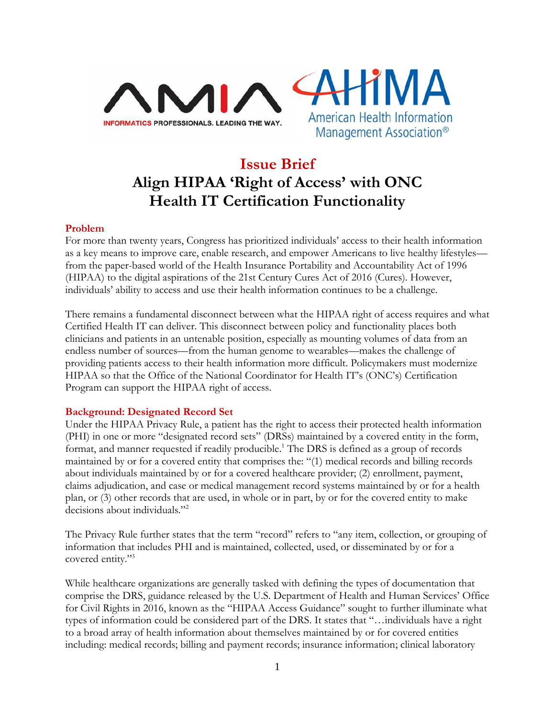



# **Issue Brief Align HIPAA 'Right of Access' with ONC Health IT Certification Functionality**

### **Problem**

For more than twenty years, Congress has prioritized individuals' access to their health information as a key means to improve care, enable research, and empower Americans to live healthy lifestyles from the paper-based world of the Health Insurance Portability and Accountability Act of 1996 (HIPAA) to the digital aspirations of the 21st Century Cures Act of 2016 (Cures). However, individuals' ability to access and use their health information continues to be a challenge.

There remains a fundamental disconnect between what the HIPAA right of access requires and what Certified Health IT can deliver. This disconnect between policy and functionality places both clinicians and patients in an untenable position, especially as mounting volumes of data from an endless number of sources—from the human genome to wearables—makes the challenge of providing patients access to their health information more difficult. Policymakers must modernize HIPAA so that the Office of the National Coordinator for Health IT's (ONC's) Certification Program can support the HIPAA right of access.

## **Background: Designated Record Set**

Under the HIPAA Privacy Rule, a patient has the right to access their protected health information (PHI) in one or more "designated record sets" (DRSs) maintained by a covered entity in the form, format, and manner requested if readily producible.<sup>1</sup> The DRS is defined as a group of records maintained by or for a covered entity that comprises the: "(1) medical records and billing records about individuals maintained by or for a covered healthcare provider; (2) enrollment, payment, claims adjudication, and case or medical management record systems maintained by or for a health plan, or (3) other records that are used, in whole or in part, by or for the covered entity to make decisions about individuals."<sup>2</sup>

The Privacy Rule further states that the term "record" refers to "any item, collection, or grouping of information that includes PHI and is maintained, collected, used, or disseminated by or for a covered entity."<sup>3</sup>

While healthcare organizations are generally tasked with defining the types of documentation that comprise the DRS, guidance released by the U.S. Department of Health and Human Services' Office for Civil Rights in 2016, known as the "HIPAA Access Guidance" sought to further illuminate what types of information could be considered part of the DRS. It states that "…individuals have a right to a broad array of health information about themselves maintained by or for covered entities including: medical records; billing and payment records; insurance information; clinical laboratory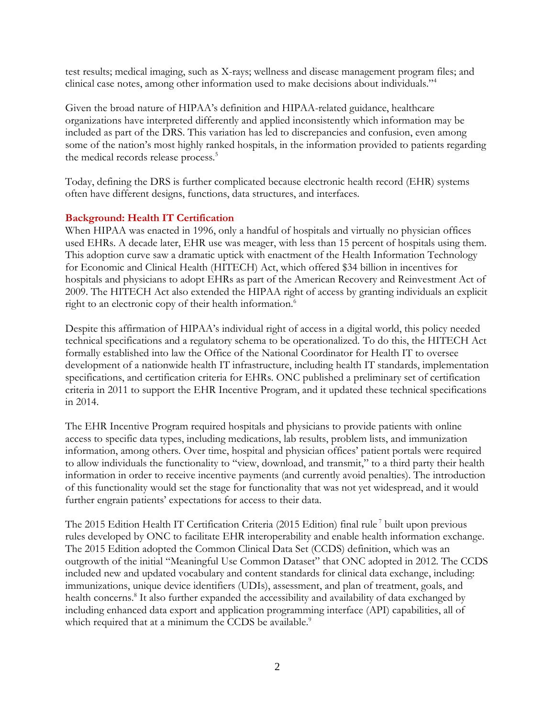test results; medical imaging, such as X-rays; wellness and disease management program files; and clinical case notes, among other information used to make decisions about individuals."<sup>4</sup>

Given the broad nature of HIPAA's definition and HIPAA-related guidance, healthcare organizations have interpreted differently and applied inconsistently which information may be included as part of the DRS. This variation has led to discrepancies and confusion, even among some of the nation's most highly ranked hospitals, in the information provided to patients regarding the medical records release process.<sup>5</sup>

Today, defining the DRS is further complicated because electronic health record (EHR) systems often have different designs, functions, data structures, and interfaces.

## **Background: Health IT Certification**

When HIPAA was enacted in 1996, only a handful of hospitals and virtually no physician offices used EHRs. A decade later, EHR use was meager, with less than 15 percent of hospitals using them. This adoption curve saw a dramatic uptick with enactment of the Health Information Technology for Economic and Clinical Health (HITECH) Act, which offered \$34 billion in incentives for hospitals and physicians to adopt EHRs as part of the American Recovery and Reinvestment Act of 2009. The HITECH Act also extended the HIPAA right of access by granting individuals an explicit right to an electronic copy of their health information.<sup>6</sup>

Despite this affirmation of HIPAA's individual right of access in a digital world, this policy needed technical specifications and a regulatory schema to be operationalized. To do this, the HITECH Act formally established into law the Office of the National Coordinator for Health IT to oversee development of a nationwide health IT infrastructure, including health IT standards, implementation specifications, and certification criteria for EHRs. ONC published a preliminary set of certification criteria in 2011 to support the EHR Incentive Program, and it updated these technical specifications in 2014.

The EHR Incentive Program required hospitals and physicians to provide patients with online access to specific data types, including medications, lab results, problem lists, and immunization information, among others. Over time, hospital and physician offices' patient portals were required to allow individuals the functionality to "view, download, and transmit," to a third party their health information in order to receive incentive payments (and currently avoid penalties). The introduction of this functionality would set the stage for functionality that was not yet widespread, and it would further engrain patients' expectations for access to their data.

The 2015 Edition Health IT Certification Criteria (2015 Edition) final rule<sup>7</sup> built upon previous rules developed by ONC to facilitate EHR interoperability and enable health information exchange. The 2015 Edition adopted the Common Clinical Data Set (CCDS) definition, which was an outgrowth of the initial "Meaningful Use Common Dataset" that ONC adopted in 2012. The CCDS included new and updated vocabulary and content standards for clinical data exchange, including: immunizations, unique device identifiers (UDIs), assessment, and plan of treatment, goals, and health concerns.<sup>8</sup> It also further expanded the accessibility and availability of data exchanged by including enhanced data export and application programming interface (API) capabilities, all of which required that at a minimum the CCDS be available.<sup>9</sup>